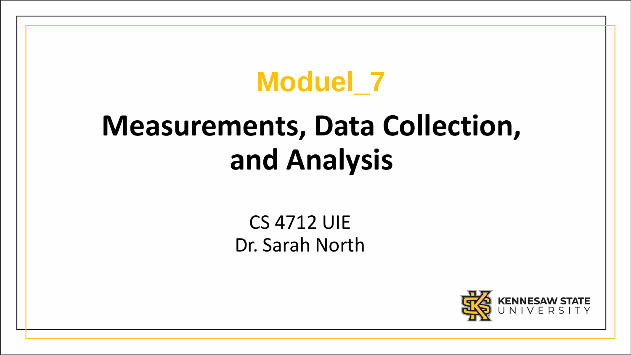# **Moduel\_7**

# **Measurements, Data Collection, and Analysis**

### CS 4712 UIE Dr. Sarah North

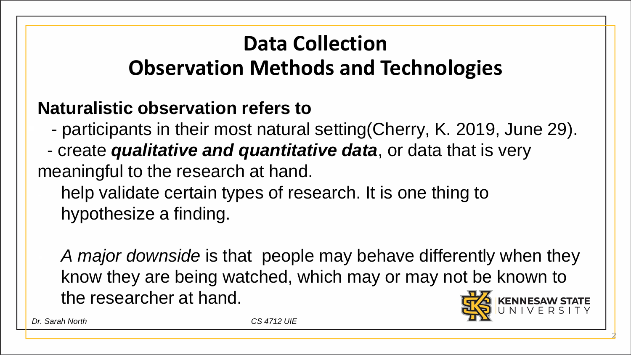## **Data Collection Observation Methods and Technologies**

#### **Naturalistic observation refers to**

- participants in their most natural setting(Cherry, K. 2019, June 29).

- create *qualitative and quantitative data*, or data that is very meaningful to the research at hand.

help validate certain types of research. It is one thing to hypothesize a finding.

 *A major downside* is that people may behave differently when they know they are being watched, which may or may not be known to the researcher at hand.



2

*Dr. Sarah North CS 4712 UIE*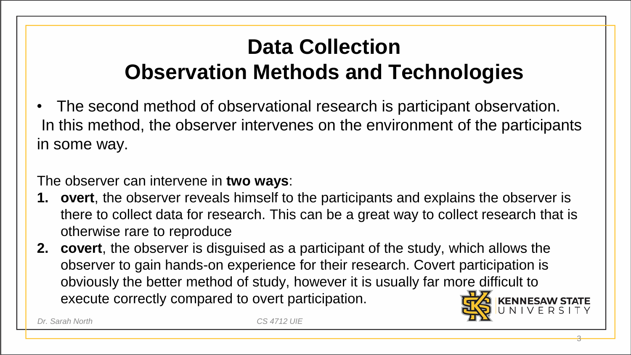## **Data Collection Observation Methods and Technologies**

• The second method of observational research is participant observation. In this method, the observer intervenes on the environment of the participants in some way.

The observer can intervene in **two ways**:

**1. overt**, the observer reveals himself to the participants and explains the observer is there to collect data for research. This can be a great way to collect research that is otherwise rare to reproduce

3

**2. covert**, the observer is disguised as a participant of the study, which allows the observer to gain hands-on experience for their research. Covert participation is obviously the better method of study, however it is usually far more difficult to execute correctly compared to overt participation.

*Dr. Sarah North CS 4712 UIE*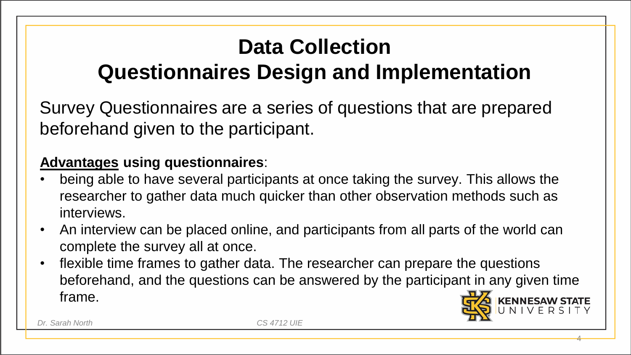# **Data Collection**

## **Questionnaires Design and Implementation**

Survey Questionnaires are a series of questions that are prepared beforehand given to the participant.

#### **Advantages using questionnaires**:

- being able to have several participants at once taking the survey. This allows the researcher to gather data much quicker than other observation methods such as interviews.
- An interview can be placed online, and participants from all parts of the world can complete the survey all at once.
- flexible time frames to gather data. The researcher can prepare the questions beforehand, and the questions can be answered by the participant in any given time frame.



4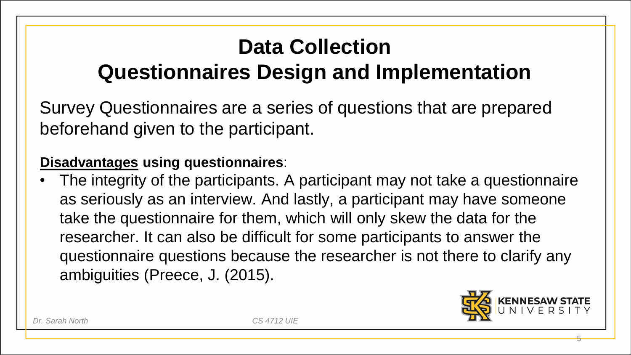# **Data Collection**

# **Questionnaires Design and Implementation**

Survey Questionnaires are a series of questions that are prepared beforehand given to the participant.

#### **Disadvantages using questionnaires**:

The integrity of the participants. A participant may not take a questionnaire as seriously as an interview. And lastly, a participant may have someone take the questionnaire for them, which will only skew the data for the researcher. It can also be difficult for some participants to answer the questionnaire questions because the researcher is not there to clarify any ambiguities (Preece, J. (2015).



5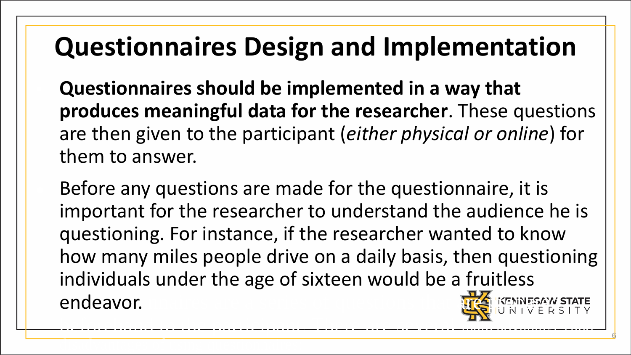# **Questionnaires Design and Implementation**

 **Questionnaires should be implemented in a way that produces meaningful data for the researcher**. These questions are then given to the participant (*either physical or online*) for them to answer.

Before any questions are made for the questionnaire, it is important for the researcher to understand the audience he is questioning. For instance, if the researcher wanted to know how many miles people drive on a daily basis, then questioning individuals under the age of sixteen would be a fruitless endeavor.

beforehand to the participant. The participant of the participant  $\overline{H_{\rm{TX}}}$ 

6

disadvantages of using questionnaires: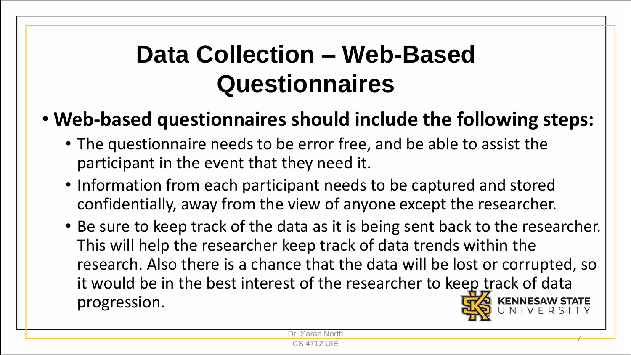# **Data Collection – Web-Based Questionnaires**

#### • **Web-based questionnaires should include the following steps:**

- The questionnaire needs to be error free, and be able to assist the participant in the event that they need it.
- Information from each participant needs to be captured and stored confidentially, away from the view of anyone except the researcher.
- Be sure to keep track of the data as it is being sent back to the researcher. This will help the researcher keep track of data trends within the research. Also there is a chance that the data will be lost or corrupted, so it would be in the best interest of the researcher to keep track of data progression.

Dr. Sarah North <u>Collar Norm 2008</u><br>CS 4712 UIE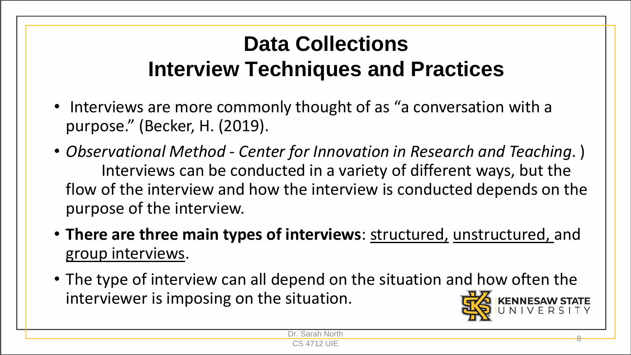## **Data Collections Interview Techniques and Practices**

- Interviews are more commonly thought of as "a conversation with a purpose." (Becker, H. (2019).
- *Observational Method - Center for Innovation in Research and Teaching*. ) Interviews can be conducted in a variety of different ways, but the flow of the interview and how the interview is conducted depends on the purpose of the interview.
- **There are three main types of interviews**: structured, unstructured, and group interviews.
- The type of interview can all depend on the situation and how often the interviewer is imposing on the situation.

Dr. Sarah North <u>Columbus 2014</u><br>CS 4712 UIE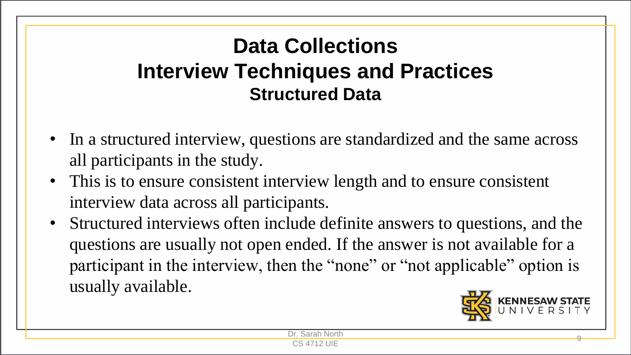## **Data Collections Interview Techniques and Practices Structured Data**

- In a structured interview, questions are standardized and the same across all participants in the study.
- This is to ensure consistent interview length and to ensure consistent interview data across all participants.
- Structured interviews often include definite answers to questions, and the questions are usually not open ended. If the answer is not available for a participant in the interview, then the "none" or "not applicable" option is usually available.

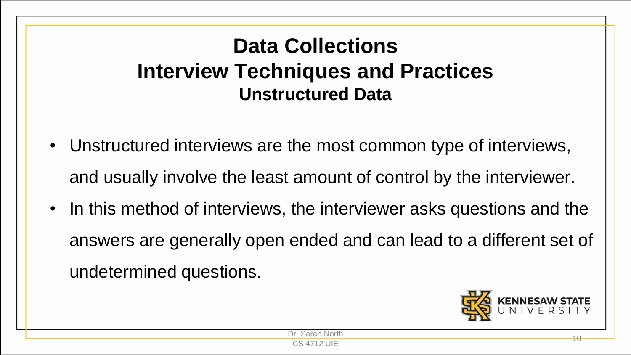## **Data Collections Interview Techniques and Practices Unstructured Data**

- Unstructured interviews are the most common type of interviews, and usually involve the least amount of control by the interviewer.
- In this method of interviews, the interviewer asks questions and the answers are generally open ended and can lead to a different set of undetermined questions.

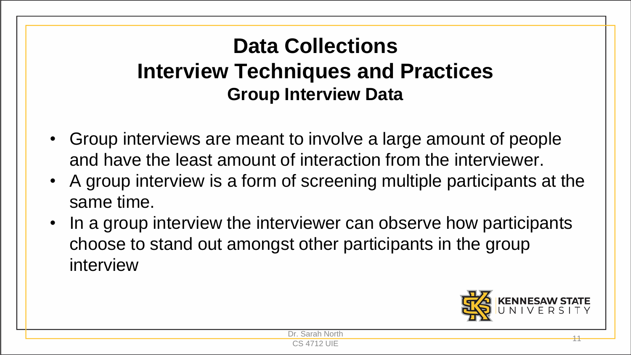## **Data Collections Interview Techniques and Practices Group Interview Data**

- Group interviews are meant to involve a large amount of people and have the least amount of interaction from the interviewer.
- A group interview is a form of screening multiple participants at the same time.
- In a group interview the interviewer can observe how participants choose to stand out amongst other participants in the group interview

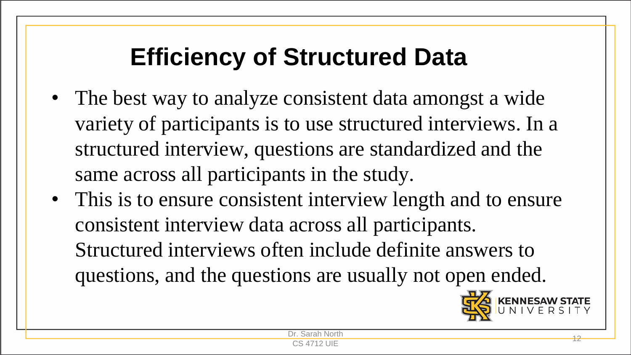# **Efficiency of Structured Data**

- The best way to analyze consistent data amongst a wide variety of participants is to use structured interviews. In a structured interview, questions are standardized and the same across all participants in the study.
- This is to ensure consistent interview length and to ensure consistent interview data across all participants. Structured interviews often include definite answers to questions, and the questions are usually not open ended.

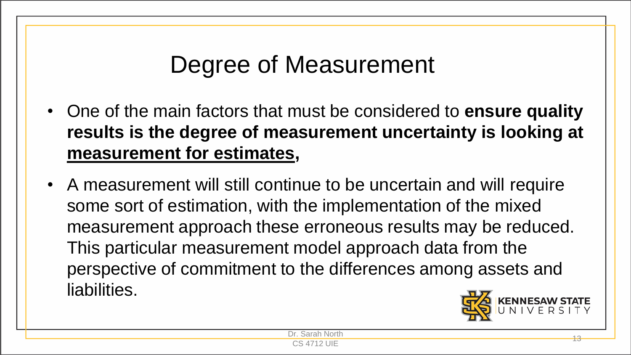# Degree of Measurement

- One of the main factors that must be considered to **ensure quality results is the degree of measurement uncertainty is looking at measurement for estimates,**
- A measurement will still continue to be uncertain and will require some sort of estimation, with the implementation of the mixed measurement approach these erroneous results may be reduced. This particular measurement model approach data from the perspective of commitment to the differences among assets and liabilities.

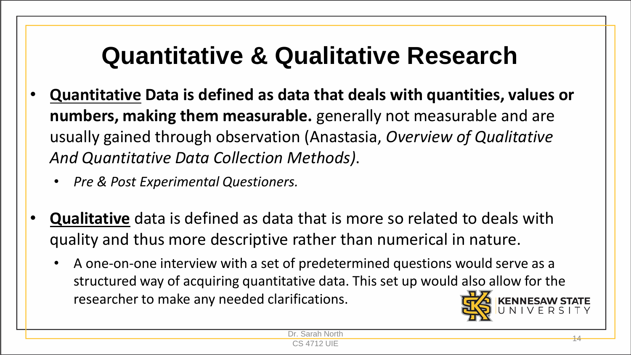# **Quantitative & Qualitative Research**

- **Quantitative Data is defined as data that deals with quantities, values or numbers, making them measurable.** generally not measurable and are usually gained through observation (Anastasia, *Overview of Qualitative And Quantitative Data Collection Methods)*.
	- *Pre & Post Experimental Questioners.*
- **Qualitative** data is defined as data that is more so related to deals with quality and thus more descriptive rather than numerical in nature.
	- A one-on-one interview with a set of predetermined questions would serve as a structured way of acquiring quantitative data. This set up would also allow for the researcher to make any needed clarifications.

North

<u>Columbus 14</u><br>CS 4712 UIE